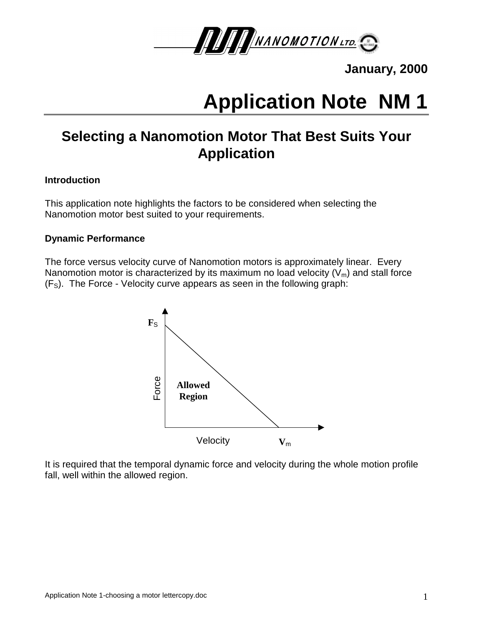

**January, 2000**

# **Application Note NM 1**

# **Selecting a Nanomotion Motor That Best Suits Your Application**

### **Introduction**

This application note highlights the factors to be considered when selecting the Nanomotion motor best suited to your requirements.

#### **Dynamic Performance**

The force versus velocity curve of Nanomotion motors is approximately linear. Every Nanomotion motor is characterized by its maximum no load velocity  $(V_m)$  and stall force  $(F<sub>S</sub>)$ . The Force - Velocity curve appears as seen in the following graph:



It is required that the temporal dynamic force and velocity during the whole motion profile fall, well within the allowed region.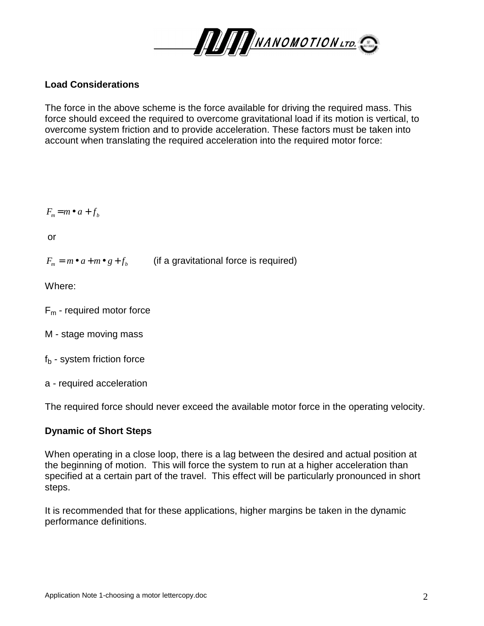

# **Load Considerations**

The force in the above scheme is the force available for driving the required mass. This force should exceed the required to overcome gravitational load if its motion is vertical, to overcome system friction and to provide acceleration. These factors must be taken into account when translating the required acceleration into the required motor force:

$$
F_m = m \bullet a + f_b
$$

or

 $F_m = m \cdot a + m \cdot g + f_b$  (if a gravitational force is required)

Where:

- $F_m$  required motor force
- M stage moving mass
- $f_b$  system friction force
- a required acceleration

The required force should never exceed the available motor force in the operating velocity.

#### **Dynamic of Short Steps**

When operating in a close loop, there is a lag between the desired and actual position at the beginning of motion. This will force the system to run at a higher acceleration than specified at a certain part of the travel. This effect will be particularly pronounced in short steps.

It is recommended that for these applications, higher margins be taken in the dynamic performance definitions.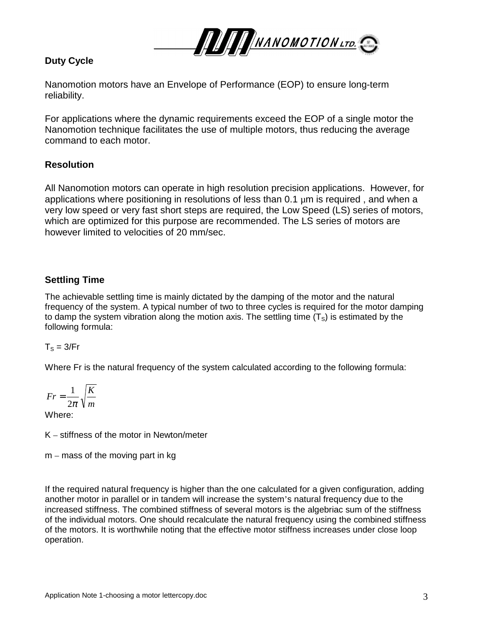

# **Duty Cycle**

Nanomotion motors have an Envelope of Performance (EOP) to ensure long-term reliability.

For applications where the dynamic requirements exceed the EOP of a single motor the Nanomotion technique facilitates the use of multiple motors, thus reducing the average command to each motor.

# **Resolution**

All Nanomotion motors can operate in high resolution precision applications. However, for applications where positioning in resolutions of less than  $0.1 \mu m$  is required, and when a very low speed or very fast short steps are required, the Low Speed (LS) series of motors, which are optimized for this purpose are recommended. The LS series of motors are however limited to velocities of 20 mm/sec.

# **Settling Time**

The achievable settling time is mainly dictated by the damping of the motor and the natural frequency of the system. A typical number of two to three cycles is required for the motor damping to damp the system vibration along the motion axis. The settling time  $(T<sub>S</sub>)$  is estimated by the following formula:

#### $T<sub>S</sub> = 3/Fr$

Where Fr is the natural frequency of the system calculated according to the following formula:

$$
Fr = \frac{1}{2\pi} \sqrt{\frac{K}{m}}
$$

Where:

K – stiffness of the motor in Newton/meter

 $m -$  mass of the moving part in kg

If the required natural frequency is higher than the one calculated for a given configuration, adding another motor in parallel or in tandem will increase the system's natural frequency due to the increased stiffness. The combined stiffness of several motors is the algebriac sum of the stiffness of the individual motors. One should recalculate the natural frequency using the combined stiffness of the motors. It is worthwhile noting that the effective motor stiffness increases under close loop operation.